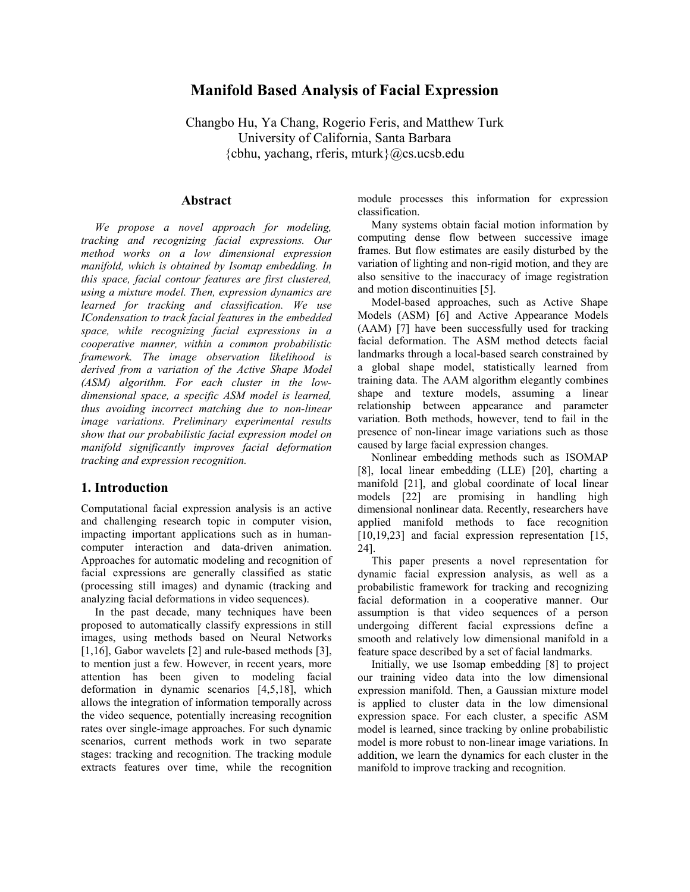# **Manifold Based Analysis of Facial Expression**

Changbo Hu, Ya Chang, Rogerio Feris, and Matthew Turk University of California, Santa Barbara  ${cbhu, yachang, fferis, mturk}$  $@cs. ucsb.edu$ 

## **Abstract**

*We propose a novel approach for modeling, tracking and recognizing facial expressions. Our method works on a low dimensional expression manifold, which is obtained by Isomap embedding. In this space, facial contour features are first clustered, using a mixture model. Then, expression dynamics are learned for tracking and classification. We use ICondensation to track facial features in the embedded space, while recognizing facial expressions in a cooperative manner, within a common probabilistic framework. The image observation likelihood is derived from a variation of the Active Shape Model (ASM) algorithm. For each cluster in the lowdimensional space, a specific ASM model is learned, thus avoiding incorrect matching due to non-linear image variations. Preliminary experimental results show that our probabilistic facial expression model on manifold significantly improves facial deformation tracking and expression recognition.* 

## **1. Introduction**

Computational facial expression analysis is an active and challenging research topic in computer vision, impacting important applications such as in humancomputer interaction and data-driven animation. Approaches for automatic modeling and recognition of facial expressions are generally classified as static (processing still images) and dynamic (tracking and analyzing facial deformations in video sequences).

In the past decade, many techniques have been proposed to automatically classify expressions in still images, using methods based on Neural Networks [1,16], Gabor wavelets [2] and rule-based methods [3], to mention just a few. However, in recent years, more attention has been given to modeling facial deformation in dynamic scenarios [4,5,18], which allows the integration of information temporally across the video sequence, potentially increasing recognition rates over single-image approaches. For such dynamic scenarios, current methods work in two separate stages: tracking and recognition. The tracking module extracts features over time, while the recognition module processes this information for expression classification.

Many systems obtain facial motion information by computing dense flow between successive image frames. But flow estimates are easily disturbed by the variation of lighting and non-rigid motion, and they are also sensitive to the inaccuracy of image registration and motion discontinuities [5].

Model-based approaches, such as Active Shape Models (ASM) [6] and Active Appearance Models (AAM) [7] have been successfully used for tracking facial deformation. The ASM method detects facial landmarks through a local-based search constrained by a global shape model, statistically learned from training data. The AAM algorithm elegantly combines shape and texture models, assuming a linear relationship between appearance and parameter variation. Both methods, however, tend to fail in the presence of non-linear image variations such as those caused by large facial expression changes.

Nonlinear embedding methods such as ISOMAP [8], local linear embedding (LLE) [20], charting a manifold [21], and global coordinate of local linear models [22] are promising in handling high dimensional nonlinear data. Recently, researchers have applied manifold methods to face recognition [10,19,23] and facial expression representation [15, 24].

This paper presents a novel representation for dynamic facial expression analysis, as well as a probabilistic framework for tracking and recognizing facial deformation in a cooperative manner. Our assumption is that video sequences of a person undergoing different facial expressions define a smooth and relatively low dimensional manifold in a feature space described by a set of facial landmarks.

Initially, we use Isomap embedding [8] to project our training video data into the low dimensional expression manifold. Then, a Gaussian mixture model is applied to cluster data in the low dimensional expression space. For each cluster, a specific ASM model is learned, since tracking by online probabilistic model is more robust to non-linear image variations. In addition, we learn the dynamics for each cluster in the manifold to improve tracking and recognition.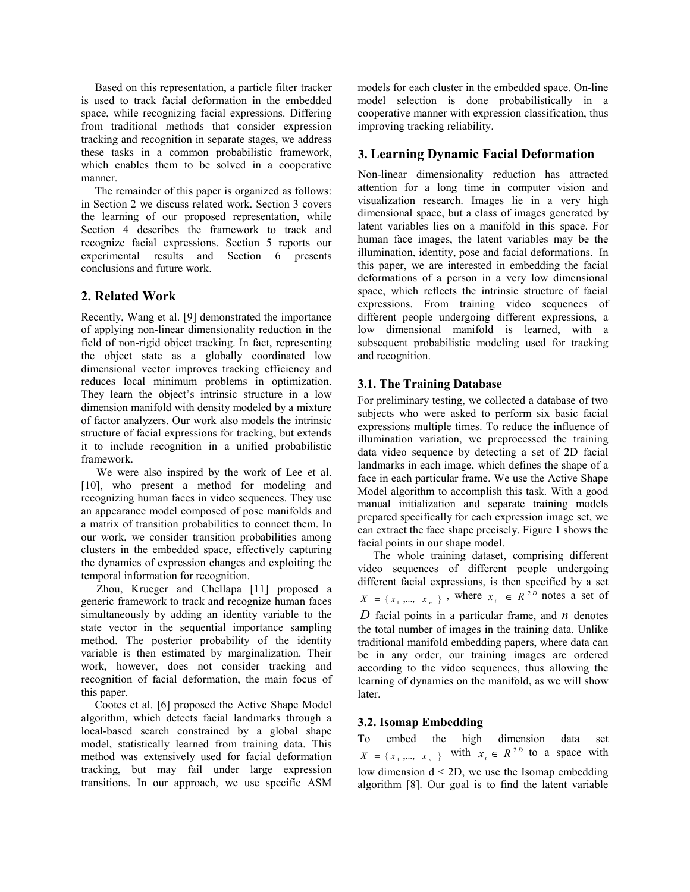Based on this representation, a particle filter tracker is used to track facial deformation in the embedded space, while recognizing facial expressions. Differing from traditional methods that consider expression tracking and recognition in separate stages, we address these tasks in a common probabilistic framework, which enables them to be solved in a cooperative manner.

The remainder of this paper is organized as follows: in Section 2 we discuss related work. Section 3 covers the learning of our proposed representation, while Section 4 describes the framework to track and recognize facial expressions. Section 5 reports our experimental results and Section 6 presents conclusions and future work.

# **2. Related Work**

Recently, Wang et al. [9] demonstrated the importance of applying non-linear dimensionality reduction in the field of non-rigid object tracking. In fact, representing the object state as a globally coordinated low dimensional vector improves tracking efficiency and reduces local minimum problems in optimization. They learn the object's intrinsic structure in a low dimension manifold with density modeled by a mixture of factor analyzers. Our work also models the intrinsic structure of facial expressions for tracking, but extends it to include recognition in a unified probabilistic framework.

We were also inspired by the work of Lee et al. [10], who present a method for modeling and recognizing human faces in video sequences. They use an appearance model composed of pose manifolds and a matrix of transition probabilities to connect them. In our work, we consider transition probabilities among clusters in the embedded space, effectively capturing the dynamics of expression changes and exploiting the temporal information for recognition.

Zhou, Krueger and Chellapa [11] proposed a generic framework to track and recognize human faces simultaneously by adding an identity variable to the state vector in the sequential importance sampling method. The posterior probability of the identity variable is then estimated by marginalization. Their work, however, does not consider tracking and recognition of facial deformation, the main focus of this paper.

Cootes et al. [6] proposed the Active Shape Model algorithm, which detects facial landmarks through a local-based search constrained by a global shape model, statistically learned from training data. This method was extensively used for facial deformation tracking, but may fail under large expression transitions. In our approach, we use specific ASM

models for each cluster in the embedded space. On-line model selection is done probabilistically in a cooperative manner with expression classification, thus improving tracking reliability.

# **3. Learning Dynamic Facial Deformation**

Non-linear dimensionality reduction has attracted attention for a long time in computer vision and visualization research. Images lie in a very high dimensional space, but a class of images generated by latent variables lies on a manifold in this space. For human face images, the latent variables may be the illumination, identity, pose and facial deformations. In this paper, we are interested in embedding the facial deformations of a person in a very low dimensional space, which reflects the intrinsic structure of facial expressions. From training video sequences of different people undergoing different expressions, a low dimensional manifold is learned, with a subsequent probabilistic modeling used for tracking and recognition.

# **3.1. The Training Database**

For preliminary testing, we collected a database of two subjects who were asked to perform six basic facial expressions multiple times. To reduce the influence of illumination variation, we preprocessed the training data video sequence by detecting a set of 2D facial landmarks in each image, which defines the shape of a face in each particular frame. We use the Active Shape Model algorithm to accomplish this task. With a good manual initialization and separate training models prepared specifically for each expression image set, we can extract the face shape precisely. Figure 1 shows the facial points in our shape model.

The whole training dataset, comprising different video sequences of different people undergoing different facial expressions, is then specified by a set  $X = \{x_1, \dots, x_n\}$ , where  $x_i \in R^{2D}$  notes a set of *D* facial points in a particular frame, and *n* denotes the total number of images in the training data. Unlike traditional manifold embedding papers, where data can be in any order, our training images are ordered according to the video sequences, thus allowing the learning of dynamics on the manifold, as we will show later.

# **3.2. Isomap Embedding**

To embed the high dimension data set  $X = \{x_1, ..., x_n\}$  with  $x_i \in R^{2D}$  to a space with low dimension d < 2D, we use the Isomap embedding algorithm [8]. Our goal is to find the latent variable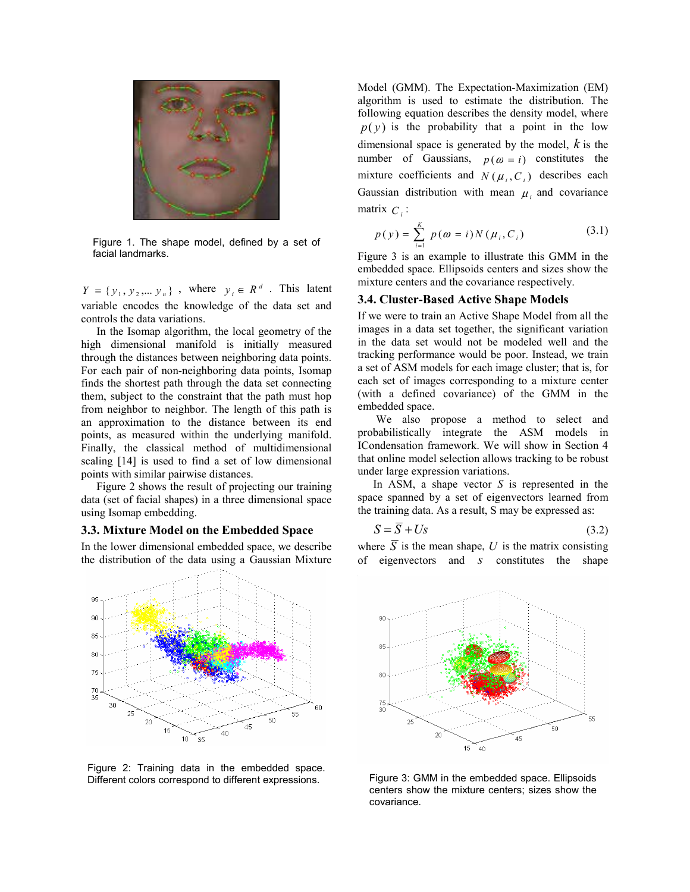

Figure 1. The shape model, defined by a set of facial landmarks.

 $Y = \{y_1, y_2, \dots, y_n\}$ , where  $y_i \in R^d$ . This latent variable encodes the knowledge of the data set and controls the data variations.

In the Isomap algorithm, the local geometry of the high dimensional manifold is initially measured through the distances between neighboring data points. For each pair of non-neighboring data points, Isomap finds the shortest path through the data set connecting them, subject to the constraint that the path must hop from neighbor to neighbor. The length of this path is an approximation to the distance between its end points, as measured within the underlying manifold. Finally, the classical method of multidimensional scaling [14] is used to find a set of low dimensional points with similar pairwise distances.

Figure 2 shows the result of projecting our training data (set of facial shapes) in a three dimensional space using Isomap embedding.

### **3.3. Mixture Model on the Embedded Space**

In the lower dimensional embedded space, we describe the distribution of the data using a Gaussian Mixture



Figure 2: Training data in the embedded space. Different colors correspond to different expressions. Figure 3: GMM in the embedded space. Ellipsoids

Model (GMM). The Expectation-Maximization (EM) algorithm is used to estimate the distribution. The following equation describes the density model, where  $p(y)$  is the probability that a point in the low dimensional space is generated by the model, *k* is the number of Gaussians,  $p(\omega = i)$  constitutes the mixture coefficients and  $N(\mu_i, C_i)$  describes each Gaussian distribution with mean  $\mu_i$  and covariance matrix  $C_i$ :

$$
p(y) = \sum_{i=1}^{K} p(\omega = i) N(\mu_i, C_i)
$$
 (3.1)

Figure 3 is an example to illustrate this GMM in the embedded space. Ellipsoids centers and sizes show the mixture centers and the covariance respectively.

## **3.4. Cluster-Based Active Shape Models**

If we were to train an Active Shape Model from all the images in a data set together, the significant variation in the data set would not be modeled well and the tracking performance would be poor. Instead, we train a set of ASM models for each image cluster; that is, for each set of images corresponding to a mixture center (with a defined covariance) of the GMM in the embedded space.

 We also propose a method to select and probabilistically integrate the ASM models in ICondensation framework. We will show in Section 4 that online model selection allows tracking to be robust under large expression variations.

In ASM, a shape vector *S* is represented in the space spanned by a set of eigenvectors learned from the training data. As a result, S may be expressed as:

$$
S = S + Us \tag{3.2}
$$

where  $\overline{S}$  is the mean shape, U is the matrix consisting of eigenvectors and *s* constitutes the shape



centers show the mixture centers; sizes show the covariance.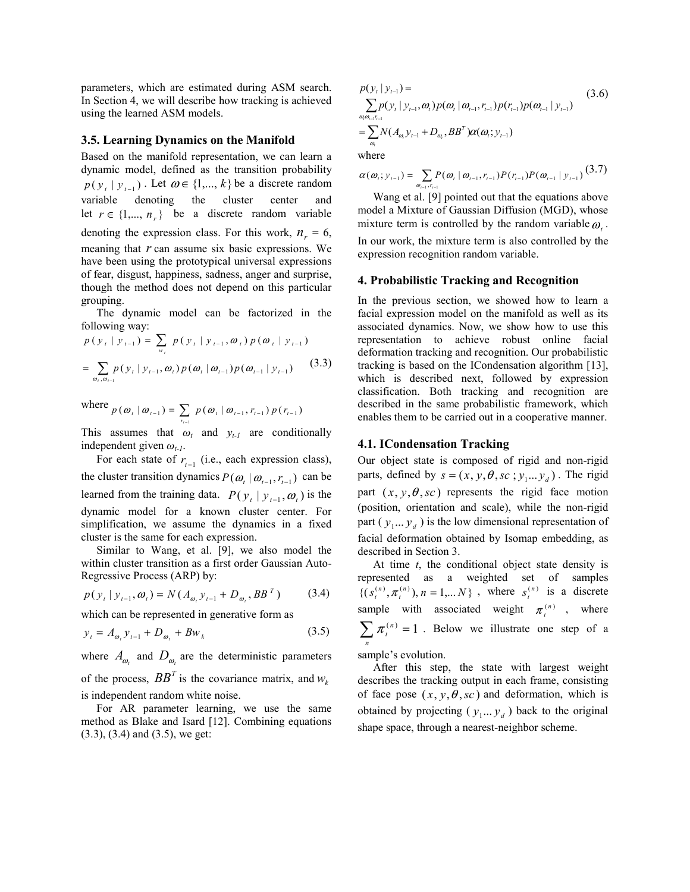parameters, which are estimated during ASM search. In Section 4, we will describe how tracking is achieved using the learned ASM models.

#### **3.5. Learning Dynamics on the Manifold**

Based on the manifold representation, we can learn a dynamic model, defined as the transition probability  $p(y_t | y_{t-1})$ . Let  $\omega \in \{1, ..., k\}$  be a discrete random variable denoting the cluster center and let  $r \in \{1, ..., n_r\}$  be a discrete random variable denoting the expression class. For this work,  $n_r = 6$ , meaning that *r* can assume six basic expressions. We have been using the prototypical universal expressions of fear, disgust, happiness, sadness, anger and surprise, though the method does not depend on this particular grouping.

The dynamic model can be factorized in the following way:

$$
p(y_t | y_{t-1}) = \sum_{w_t} p(y_t | y_{t-1}, \omega_t) p(\omega_t | y_{t-1})
$$
  
= 
$$
\sum_{\omega_t, \omega_{t-1}} p(y_t | y_{t-1}, \omega_t) p(\omega_t | \omega_{t-1}) p(\omega_{t-1} | y_{t-1})
$$
 (3.3)

where 
$$
p(\omega_t | \omega_{t-1}) = \sum_{r_{t-1}} p(\omega_t | \omega_{t-1}, r_{t-1}) p(r_{t-1})
$$

This assumes that  $\omega_t$  and  $y_{t-1}$  are conditionally independent given *ωt-1*.

For each state of  $r_{t-1}$  (i.e., each expression class), the cluster transition dynamics  $P(\omega_t | \omega_{t-1}, r_{t-1})$  can be learned from the training data.  $P(y_t | y_{t-1}, \omega_t)$  is the dynamic model for a known cluster center. For simplification, we assume the dynamics in a fixed cluster is the same for each expression.

Similar to Wang, et al. [9], we also model the within cluster transition as a first order Gaussian Auto-Regressive Process (ARP) by:

$$
p(y_t | y_{t-1}, \omega_t) = N(A_{\omega_t} y_{t-1} + D_{\omega_t}, BB^T)
$$
 (3.4)

which can be represented in generative form as

$$
y_{t} = A_{\omega_{t}} y_{t-1} + D_{\omega_{t}} + B w_{k}
$$
 (3.5)

where  $A_{\omega}$  and  $D_{\omega}$  are the deterministic parameters of the process,  $BB<sup>T</sup>$  is the covariance matrix, and  $w<sub>k</sub>$ 

is independent random white noise.

For AR parameter learning, we use the same method as Blake and Isard [12]. Combining equations (3.3), (3.4) and (3.5), we get:

$$
p(y_t | y_{t-1}) =
$$
  
\n
$$
\sum_{\omega_i, \omega_{t-1}r_{t-1}} p(y_t | y_{t-1}, \omega_t) p(\omega_t | \omega_{t-1}, r_{t-1}) p(r_{t-1}) p(\omega_{t-1} | y_{t-1})
$$
\n
$$
= \sum_{\omega_i} N(A_{\omega_i} y_{t-1} + D_{\omega_i}, BB^T) \alpha(\omega_i; y_{t-1})
$$
\n(3.6)

where

$$
\alpha(\omega_i; y_{i-1}) = \sum_{\omega_{i-1}, r_{i-1}} P(\omega_i | \omega_{i-1}, r_{i-1}) P(r_{i-1}) P(\omega_{i-1} | y_{i-1})
$$
(3.7)

Wang et al. [9] pointed out that the equations above model a Mixture of Gaussian Diffusion (MGD), whose mixture term is controlled by the random variable  $\omega$ . In our work, the mixture term is also controlled by the expression recognition random variable.

#### **4. Probabilistic Tracking and Recognition**

In the previous section, we showed how to learn a facial expression model on the manifold as well as its associated dynamics. Now, we show how to use this representation to achieve robust online facial deformation tracking and recognition. Our probabilistic tracking is based on the ICondensation algorithm [13], which is described next, followed by expression classification. Both tracking and recognition are described in the same probabilistic framework, which enables them to be carried out in a cooperative manner.

#### **4.1. ICondensation Tracking**

Our object state is composed of rigid and non-rigid parts, defined by  $s = (x, y, \theta, sc; y_1... y_d)$ . The rigid part  $(x, y, \theta, sc)$  represents the rigid face motion (position, orientation and scale), while the non-rigid part ( $y_1... y_d$ ) is the low dimensional representation of facial deformation obtained by Isomap embedding, as described in Section 3.

At time *t*, the conditional object state density is represented as a weighted set of samples  $\{(s_t^{(n)}, \pi_t^{(n)}), n = 1,... N\}$ , where  $s_t^{(n)}$  is a discrete sample with associated weight  $\pi_t^{(n)}$ , where  $\sum_{n} \pi_i^{(n)} = 1$ . Below we illustrate one step of a

sample's evolution.

After this step, the state with largest weight describes the tracking output in each frame, consisting of face pose  $(x, y, \theta, sc)$  and deformation, which is obtained by projecting  $(y_1... y_d)$  back to the original shape space, through a nearest-neighbor scheme.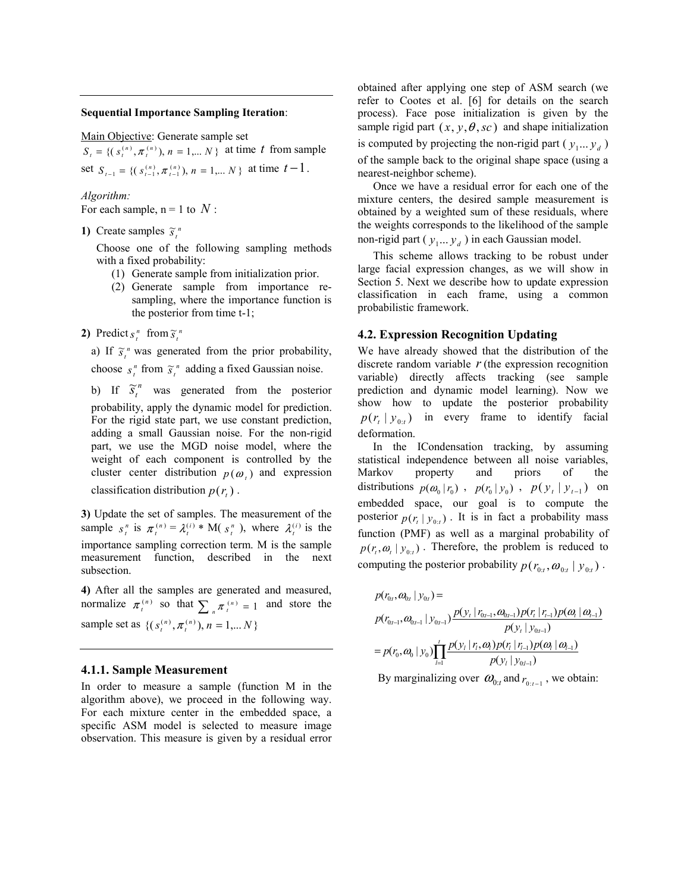#### **Sequential Importance Sampling Iteration**:

Main Objective: Generate sample set

 ${S_t} = \{ (s_t^{(n)}, \pi_t^{(n)})$ ,  $n = 1,... N \}$  at time *t* from sample set  $S_{t-1} = \{ (s_{t-1}^{(n)}, \pi_{t-1}^{(n)}) , n = 1,... N \}$  at time  $t-1$ .

*Algorithm:*  For each sample,  $n = 1$  to  $N$ :

**1)** Create samples  $\widetilde{s}_t^n$ 

Choose one of the following sampling methods with a fixed probability:

- (1) Generate sample from initialization prior.
- (2) Generate sample from importance resampling, where the importance function is the posterior from time t-1;
- **2)** Predict  $s_t^n$  from  $\widetilde{s}_t^n$

a) If  $\tilde{s}_t^n$  was generated from the prior probability,

choose  $s_t^n$  from  $\tilde{s}_t^n$  adding a fixed Gaussian noise.

b) If  $\tilde{s}_t^n$  was generated from the posterior probability, apply the dynamic model for prediction. For the rigid state part, we use constant prediction, adding a small Gaussian noise. For the non-rigid part, we use the MGD noise model, where the weight of each component is controlled by the cluster center distribution  $p(\omega)$  and expression classification distribution  $p(r)$ .

**3)** Update the set of samples. The measurement of the sample  $s_t^n$  is  $\pi_t^{(n)} = \lambda_t^{(i)} * M(s_t^n)$ , where  $\lambda_t^{(i)}$  is the importance sampling correction term. M is the sample measurement function, described in the next subsection.

**4)** After all the samples are generated and measured, normalize  $\pi_i^{(n)}$  so that  $\sum_{n} \pi_i^{(n)} = 1$  and store the sample set as  $\{(s_t^{(n)}, \pi_t^{(n)}), n = 1,... N\}$ 

#### **4.1.1. Sample Measurement**

In order to measure a sample (function M in the algorithm above), we proceed in the following way. For each mixture center in the embedded space, a specific ASM model is selected to measure image observation. This measure is given by a residual error

obtained after applying one step of ASM search (we refer to Cootes et al. [6] for details on the search process). Face pose initialization is given by the sample rigid part  $(x, y, \theta, sc)$  and shape initialization is computed by projecting the non-rigid part ( $y_1... y_d$ ) of the sample back to the original shape space (using a nearest-neighbor scheme).

Once we have a residual error for each one of the mixture centers, the desired sample measurement is obtained by a weighted sum of these residuals, where the weights corresponds to the likelihood of the sample non-rigid part ( $y_1... y_d$ ) in each Gaussian model.

This scheme allows tracking to be robust under large facial expression changes, as we will show in Section 5. Next we describe how to update expression classification in each frame, using a common probabilistic framework.

#### **4.2. Expression Recognition Updating**

We have already showed that the distribution of the discrete random variable  $r$  (the expression recognition variable) directly affects tracking (see sample prediction and dynamic model learning). Now we show how to update the posterior probability  $p(r_t | y_{0:t})$  in every frame to identify facial deformation.

In the ICondensation tracking, by assuming statistical independence between all noise variables, Markov property and priors of the distributions  $p(\omega_0 | r_0)$ ,  $p(r_0 | y_0)$ ,  $p(y_t | y_{t-1})$  on embedded space, our goal is to compute the posterior  $p(r_i | y_{0:t})$ . It is in fact a probability mass function (PMF) as well as a marginal probability of  $p(r_t, \omega_t | y_{0:t})$ . Therefore, the problem is reduced to computing the posterior probability  $p(r_{0:t}, \omega_{0:t} | y_{0:t})$ .

$$
p(r_{0t}, \omega_{0t} | y_{0t}) =
$$
\n
$$
p(r_{0t-1}, \omega_{0t-1} | y_{0t-1}) \frac{p(y_t | r_{0t-1}, \omega_{0t-1}) p(r_t | r_{t-1}) p(\omega_t | \omega_{t-1})}{p(y_t | y_{0t-1})}
$$
\n
$$
= p(r_0, \omega_0 | y_0) \prod_{l=1}^t \frac{p(y_l | r_l, \omega_l) p(r_l | r_{t-1}) p(\omega_l | \omega_{l-1})}{p(y_l | y_{0t-1})}
$$

By marginalizing over  $\omega_{0:t}$  and  $r_{0:t-1}$ , we obtain: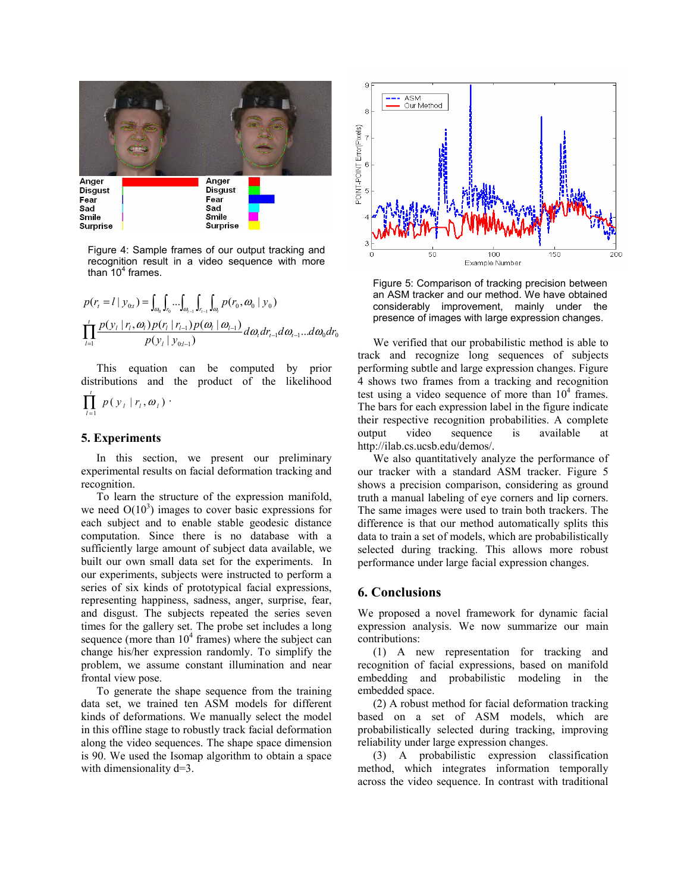

Figure 4: Sample frames of our output tracking and recognition result in a video sequence with more than  $10<sup>4</sup>$  frames.

$$
p(r_i = l \mid y_{0i}) = \int_{\omega_0} \int_{r_{0i-1}} \int_{\omega_{i-1}} \int_{\omega_{i-1}} \int_{\omega_i} p(r_0, \omega_0 \mid y_0)
$$
  

$$
\prod_{l=1}^{i} \frac{p(y_l \mid r_l, \omega_l) p(r_l \mid r_{l-1}) p(\omega_l \mid \omega_{l-1})}{p(y_l \mid y_{0i-1})} d\omega_i dr_{l-1} d\omega_{l-1} ... d\omega_0 dr_0
$$

This equation can be computed by prior distributions and the product of the likelihood

$$
\prod_{l=1}^t p(y_l | r_l, \omega_l) \cdot
$$

## **5. Experiments**

In this section, we present our preliminary experimental results on facial deformation tracking and recognition.

To learn the structure of the expression manifold, we need  $O(10^3)$  images to cover basic expressions for each subject and to enable stable geodesic distance computation. Since there is no database with a sufficiently large amount of subject data available, we built our own small data set for the experiments. In our experiments, subjects were instructed to perform a series of six kinds of prototypical facial expressions, representing happiness, sadness, anger, surprise, fear, and disgust. The subjects repeated the series seven times for the gallery set. The probe set includes a long sequence (more than  $10^4$  frames) where the subject can change his/her expression randomly. To simplify the problem, we assume constant illumination and near frontal view pose.

To generate the shape sequence from the training data set, we trained ten ASM models for different kinds of deformations. We manually select the model in this offline stage to robustly track facial deformation along the video sequences. The shape space dimension is 90. We used the Isomap algorithm to obtain a space with dimensionality  $d=3$ .



Figure 5: Comparison of tracking precision between an ASM tracker and our method. We have obtained considerably improvement, mainly under the presence of images with large expression changes.

We verified that our probabilistic method is able to track and recognize long sequences of subjects performing subtle and large expression changes. Figure 4 shows two frames from a tracking and recognition test using a video sequence of more than  $10<sup>4</sup>$  frames. The bars for each expression label in the figure indicate their respective recognition probabilities. A complete output video sequence is available at http://ilab.cs.ucsb.edu/demos/.

We also quantitatively analyze the performance of our tracker with a standard ASM tracker. Figure 5 shows a precision comparison, considering as ground truth a manual labeling of eye corners and lip corners. The same images were used to train both trackers. The difference is that our method automatically splits this data to train a set of models, which are probabilistically selected during tracking. This allows more robust performance under large facial expression changes.

## **6. Conclusions**

We proposed a novel framework for dynamic facial expression analysis. We now summarize our main contributions:

(1) A new representation for tracking and recognition of facial expressions, based on manifold embedding and probabilistic modeling in the embedded space.

(2) A robust method for facial deformation tracking based on a set of ASM models, which are probabilistically selected during tracking, improving reliability under large expression changes.

(3) A probabilistic expression classification method, which integrates information temporally across the video sequence. In contrast with traditional